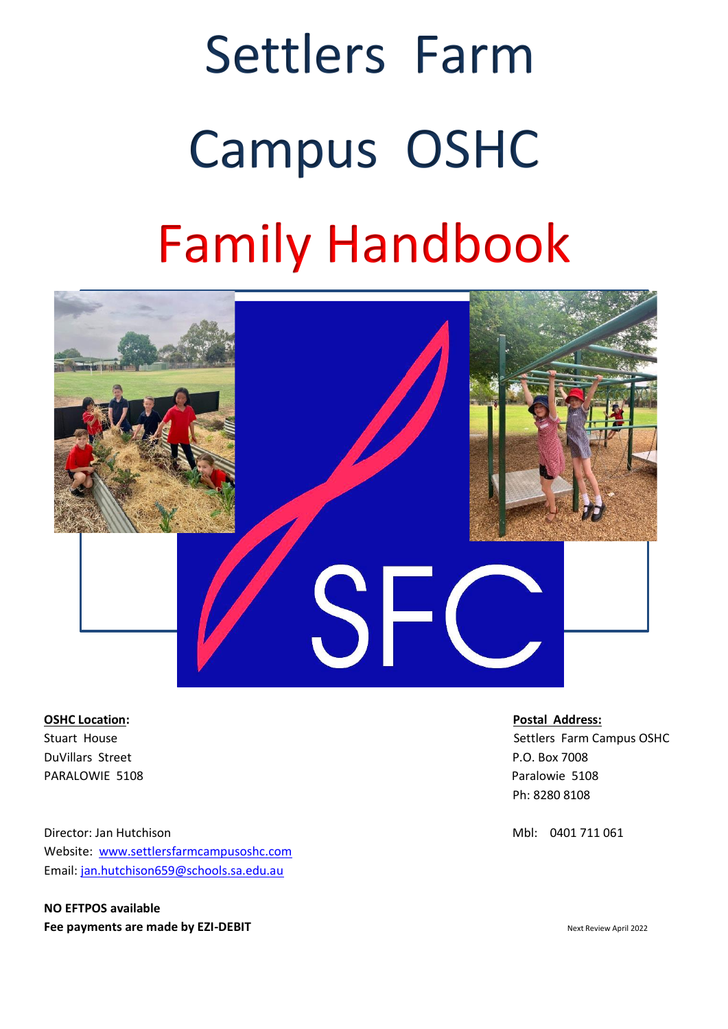# Settlers Farm Campus OSHC Family Handbook



**OSHC Location: Postal Address:** DuVillars Street P.O. Box 7008 PARALOWIE 5108 PARALOWIE 5108

Director: Jan Hutchison **Mbl: 0401 711 061** Mbl: 0401 711 061 Website: [www.settlersfarmcampusoshc.](http://www.settlersfarmcampusoshc/)com Email: [jan.hutchison659@schools.sa.edu.au](mailto:jan.hutchison659@schools.sa.edu.au)

**NO EFTPOS available Fee payments are made by EZI-DEBIT Next Review April 2022** 

Stuart House Superintendent Controllers Farm Campus OSHC Settlers Farm Campus OSHC Ph: 8280 8108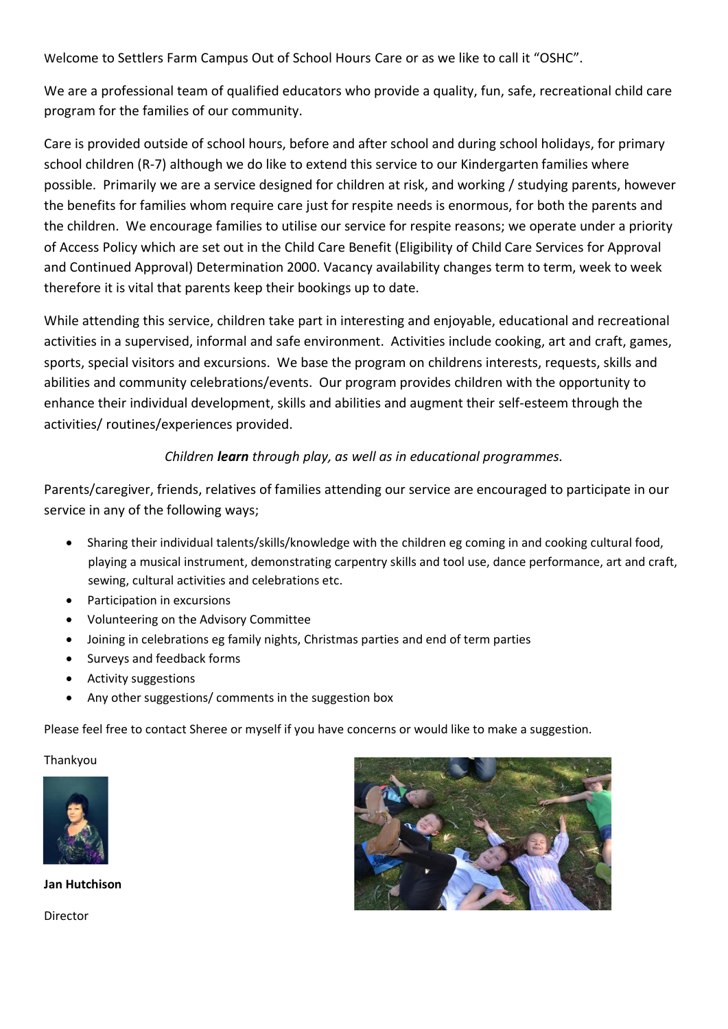Welcome to Settlers Farm Campus Out of School Hours Care or as we like to call it "OSHC".

We are a professional team of qualified educators who provide a quality, fun, safe, recreational child care program for the families of our community.

Care is provided outside of school hours, before and after school and during school holidays, for primary school children (R-7) although we do like to extend this service to our Kindergarten families where possible. Primarily we are a service designed for children at risk, and working / studying parents, however the benefits for families whom require care just for respite needs is enormous, for both the parents and the children. We encourage families to utilise our service for respite reasons; we operate under a priority of Access Policy which are set out in the Child Care Benefit (Eligibility of Child Care Services for Approval and Continued Approval) Determination 2000. Vacancy availability changes term to term, week to week therefore it is vital that parents keep their bookings up to date.

While attending this service, children take part in interesting and enjoyable, educational and recreational activities in a supervised, informal and safe environment. Activities include cooking, art and craft, games, sports, special visitors and excursions. We base the program on childrens interests, requests, skills and abilities and community celebrations/events. Our program provides children with the opportunity to enhance their individual development, skills and abilities and augment their self-esteem through the activities/ routines/experiences provided.

# *Children learn through play, as well as in educational programmes.*

Parents/caregiver, friends, relatives of families attending our service are encouraged to participate in our service in any of the following ways;

- Sharing their individual talents/skills/knowledge with the children eg coming in and cooking cultural food, playing a musical instrument, demonstrating carpentry skills and tool use, dance performance, art and craft, sewing, cultural activities and celebrations etc.
- Participation in excursions
- Volunteering on the Advisory Committee
- Joining in celebrations eg family nights, Christmas parties and end of term parties
- Surveys and feedback forms
- Activity suggestions
- Any other suggestions/ comments in the suggestion box

Please feel free to contact Sheree or myself if you have concerns or would like to make a suggestion.

Thankyou



**Jan Hutchison**

Director

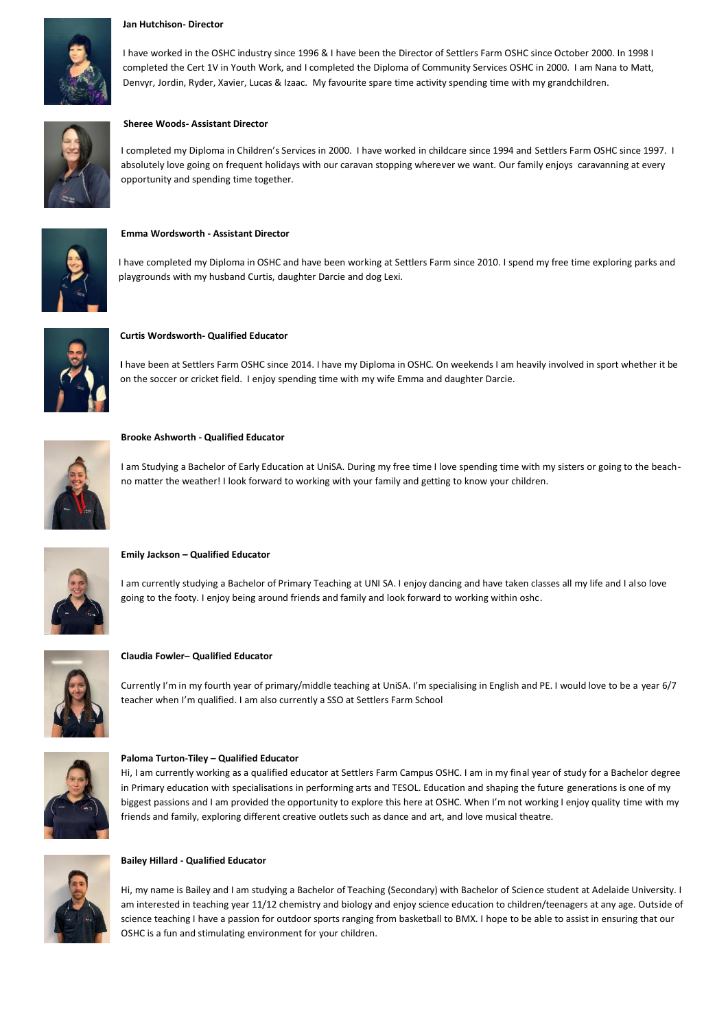#### **Jan Hutchison- Director**

I have worked in the OSHC industry since 1996 & I have been the Director of Settlers Farm OSHC since October 2000. In 1998 I completed the Cert 1V in Youth Work, and I completed the Diploma of Community Services OSHC in 2000. I am Nana to Matt, Denvyr, Jordin, Ryder, Xavier, Lucas & Izaac. My favourite spare time activity spending time with my grandchildren.



#### **Sheree Woods- Assistant Director**

I completed my Diploma in Children's Services in 2000. I have worked in childcare since 1994 and Settlers Farm OSHC since 1997. I absolutely love going on frequent holidays with our caravan stopping wherever we want. Our family enjoys caravanning at every opportunity and spending time together.



#### **Emma Wordsworth - Assistant Director**

I have completed my Diploma in OSHC and have been working at Settlers Farm since 2010. I spend my free time exploring parks and playgrounds with my husband Curtis, daughter Darcie and dog Lexi.



#### **Curtis Wordsworth- Qualified Educator**

**I** have been at Settlers Farm OSHC since 2014. I have my Diploma in OSHC. On weekends I am heavily involved in sport whether it be on the soccer or cricket field. I enjoy spending time with my wife Emma and daughter Darcie.



**Brooke Ashworth - Qualified Educator**

I am Studying a Bachelor of Early Education at UniSA. During my free time I love spending time with my sisters or going to the beachno matter the weather! I look forward to working with your family and getting to know your children.



#### **Emily Jackson – Qualified Educator**

I am currently studying a Bachelor of Primary Teaching at UNI SA. I enjoy dancing and have taken classes all my life and I also love going to the footy. I enjoy being around friends and family and look forward to working within oshc.



#### **Claudia Fowler– Qualified Educator**

Currently I'm in my fourth year of primary/middle teaching at UniSA. I'm specialising in English and PE. I would love to be a year 6/7 teacher when I'm qualified. I am also currently a SSO at Settlers Farm School



#### **Paloma Turton-Tiley – Qualified Educator**

Hi, I am currently working as a qualified educator at Settlers Farm Campus OSHC. I am in my final year of study for a Bachelor degree in Primary education with specialisations in performing arts and TESOL. Education and shaping the future generations is one of my biggest passions and I am provided the opportunity to explore this here at OSHC. When I'm not working I enjoy quality time with my friends and family, exploring different creative outlets such as dance and art, and love musical theatre.



#### **Bailey Hillard - Qualified Educator**

Hi, my name is Bailey and I am studying a Bachelor of Teaching (Secondary) with Bachelor of Science student at Adelaide University. I am interested in teaching year 11/12 chemistry and biology and enjoy science education to children/teenagers at any age. Outside of science teaching I have a passion for outdoor sports ranging from basketball to BMX. I hope to be able to assist in ensuring that our OSHC is a fun and stimulating environment for your children.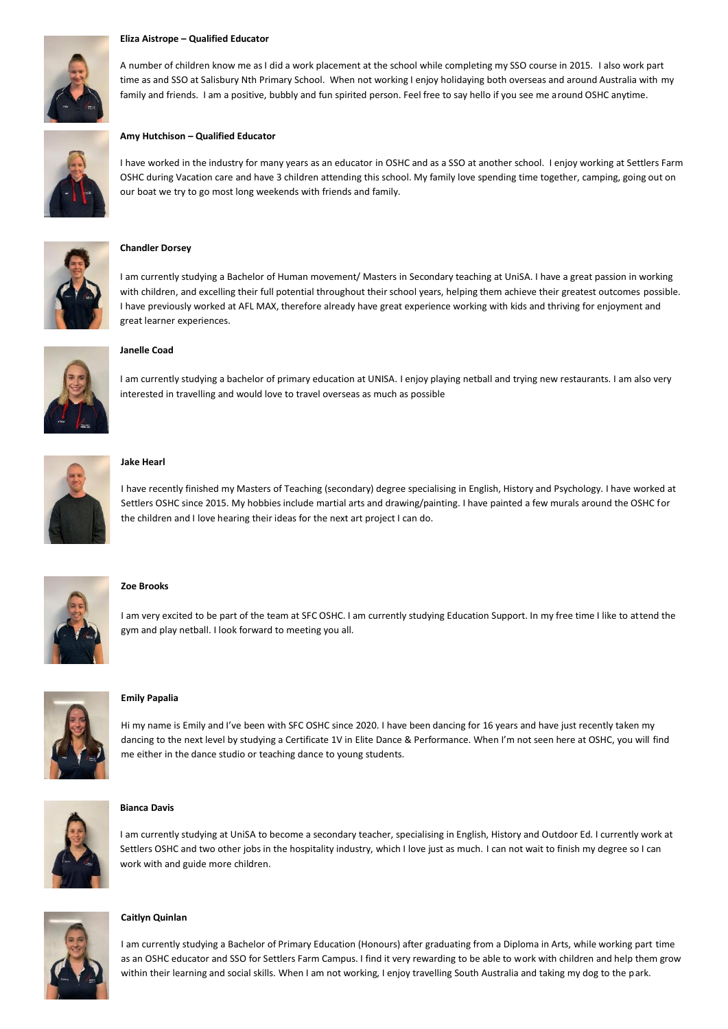#### **Eliza Aistrope – Qualified Educator**



A number of children know me as I did a work placement at the school while completing my SSO course in 2015. I also work part time as and SSO at Salisbury Nth Primary School. When not working I enjoy holidaying both overseas and around Australia with my family and friends. I am a positive, bubbly and fun spirited person. Feel free to say hello if you see me around OSHC anytime.

#### **Amy Hutchison – Qualified Educator**

I have worked in the industry for many years as an educator in OSHC and as a SSO at another school. I enjoy working at Settlers Farm OSHC during Vacation care and have 3 children attending this school. My family love spending time together, camping, going out on our boat we try to go most long weekends with friends and family.



#### **Chandler Dorsey**

I am currently studying a Bachelor of Human movement/ Masters in Secondary teaching at UniSA. I have a great passion in working with children, and excelling their full potential throughout their school years, helping them achieve their greatest outcomes possible. I have previously worked at AFL MAX, therefore already have great experience working with kids and thriving for enjoyment and great learner experiences.



#### **Janelle Coad**

I am currently studying a bachelor of primary education at UNISA. I enjoy playing netball and trying new restaurants. I am also very interested in travelling and would love to travel overseas as much as possible



#### **Jake Hearl**

I have recently finished my Masters of Teaching (secondary) degree specialising in English, History and Psychology. I have worked at Settlers OSHC since 2015. My hobbies include martial arts and drawing/painting. I have painted a few murals around the OSHC for the children and I love hearing their ideas for the next art project I can do.



#### **Zoe Brooks**

I am very excited to be part of the team at SFC OSHC. I am currently studying Education Support. In my free time I like to attend the gym and play netball. I look forward to meeting you all.



#### **Emily Papalia**

Hi my name is Emily and I've been with SFC OSHC since 2020. I have been dancing for 16 years and have just recently taken my dancing to the next level by studying a Certificate 1V in Elite Dance & Performance. When I'm not seen here at OSHC, you will find me either in the dance studio or teaching dance to young students.



#### **Bianca Davis**

I am currently studying at UniSA to become a secondary teacher, specialising in English, History and Outdoor Ed. I currently work at Settlers OSHC and two other jobs in the hospitality industry, which I love just as much. I can not wait to finish my degree so I can work with and guide more children.



#### **Caitlyn Quinlan**

I am currently studying a Bachelor of Primary Education (Honours) after graduating from a Diploma in Arts, while working part time as an OSHC educator and SSO for Settlers Farm Campus. I find it very rewarding to be able to work with children and help them grow within their learning and social skills. When I am not working, I enjoy travelling South Australia and taking my dog to the park.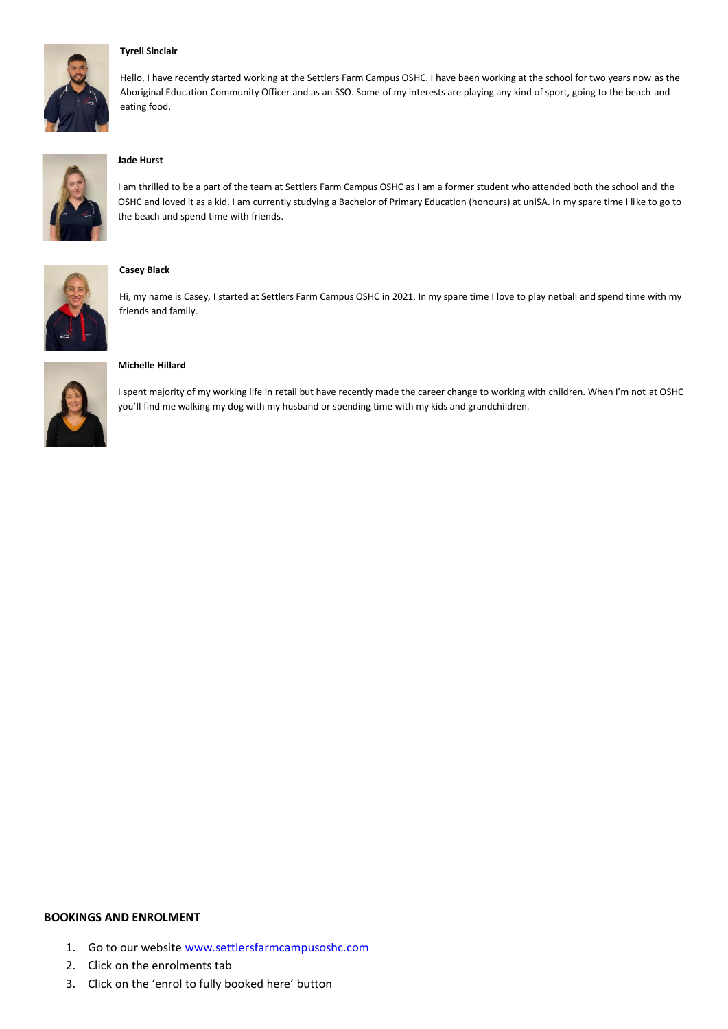

#### **Tyrell Sinclair**

Hello, I have recently started working at the Settlers Farm Campus OSHC. I have been working at the school for two years now as the Aboriginal Education Community Officer and as an SSO. Some of my interests are playing any kind of sport, going to the beach and eating food.



#### **Jade Hurst**

I am thrilled to be a part of the team at Settlers Farm Campus OSHC as I am a former student who attended both the school and the OSHC and loved it as a kid. I am currently studying a Bachelor of Primary Education (honours) at uniSA. In my spare time I like to go to the beach and spend time with friends.



#### **Casey Black**

Hi, my name is Casey, I started at Settlers Farm Campus OSHC in 2021. In my spare time I love to play netball and spend time with my friends and family.



#### **Michelle Hillard**

I spent majority of my working life in retail but have recently made the career change to working with children. When I'm not at OSHC you'll find me walking my dog with my husband or spending time with my kids and grandchildren.

#### **BOOKINGS AND ENROLMENT**

- 1. Go to our website [www.settlersfarmcampusoshc.com](http://www.settlersfarmcampusoshc.com/)
- 2. Click on the enrolments tab
- 3. Click on the 'enrol to fully booked here' button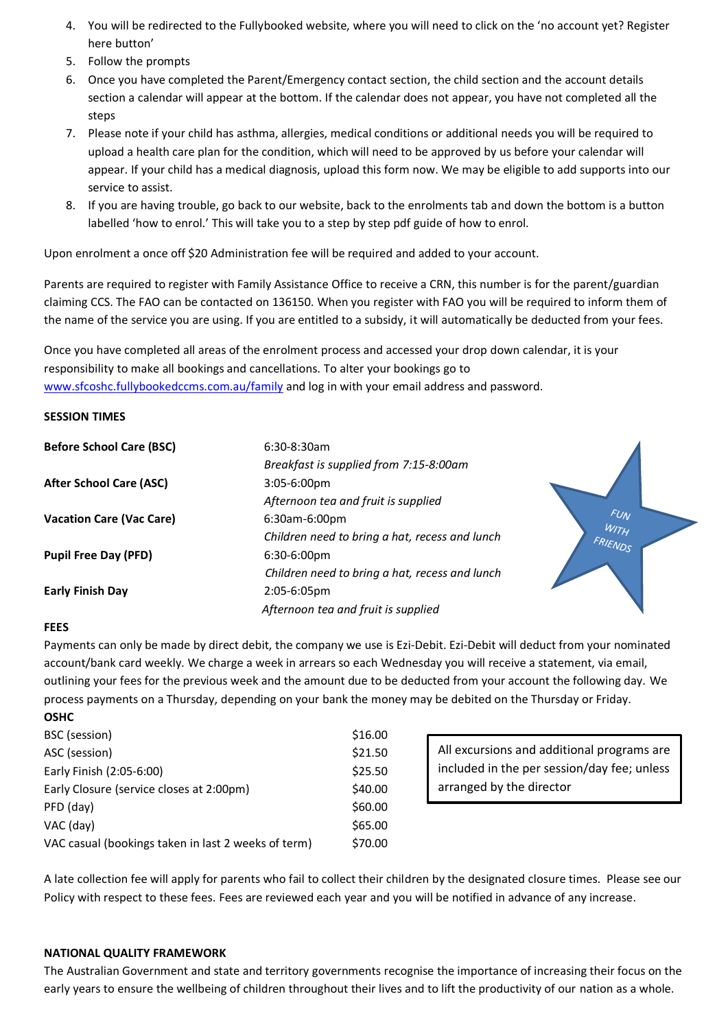- 4. You will be redirected to the Fullybooked website, where you will need to click on the 'no account yet? Register here button'
- 5. Follow the prompts
- 6. Once you have completed the Parent/Emergency contact section, the child section and the account details section a calendar will appear at the bottom. If the calendar does not appear, you have not completed all the steps
- 7. Please note if your child has asthma, allergies, medical conditions or additional needs you will be required to upload a health care plan for the condition, which will need to be approved by us before your calendar will appear. If your child has a medical diagnosis, upload this form now. We may be eligible to add supports into our service to assist.
- 8. If you are having trouble, go back to our website, back to the enrolments tab and down the bottom is a button labelled 'how to enrol.' This will take you to a step by step pdf guide of how to enrol.

Upon enrolment a once off \$20 Administration fee will be required and added to your account.

Parents are required to register with Family Assistance Office to receive a CRN, this number is for the parent/guardian claiming CCS. The FAO can be contacted on 136150. When you register with FAO you will be required to inform them of the name of the service you are using. If you are entitled to a subsidy, it will automatically be deducted from your fees.

Once you have completed all areas of the enrolment process and accessed your drop down calendar, it is your responsibility to make all bookings and cancellations. To alter your bookings go to [www.sfcoshc.fullybookedccms.com.au/family](http://www.sfcoshc.fullybookedccms.com.au/family) and log in with your email address and password.

# **SESSION TIMES**

| <b>Before School Care (BSC)</b> | $6:30-8:30$ am                                 |                 |
|---------------------------------|------------------------------------------------|-----------------|
|                                 | Breakfast is supplied from 7:15-8:00am         |                 |
| <b>After School Care (ASC)</b>  | $3:05-6:00 \text{pm}$                          |                 |
|                                 | Afternoon tea and fruit is supplied            |                 |
| <b>Vacation Care (Vac Care)</b> | 6:30am-6:00pm                                  | <b>FUN</b>      |
|                                 | Children need to bring a hat, recess and lunch | WITH<br>FRIENDS |
| <b>Pupil Free Day (PFD)</b>     | $6:30-6:00 \text{pm}$                          |                 |
|                                 | Children need to bring a hat, recess and lunch |                 |
| <b>Early Finish Day</b>         | 2:05-6:05pm                                    |                 |
|                                 | Afternoon tea and fruit is supplied            |                 |

# **FEES**

Payments can only be made by direct debit, the company we use is Ezi-Debit. Ezi-Debit will deduct from your nominated account/bank card weekly. We charge a week in arrears so each Wednesday you will receive a statement, via email, outlining your fees for the previous week and the amount due to be deducted from your account the following day. We process payments on a Thursday, depending on your bank the money may be debited on the Thursday or Friday.

| <b>OSHC</b>                                         |         |
|-----------------------------------------------------|---------|
| BSC (session)                                       | \$16.00 |
| ASC (session)                                       | \$21.50 |
| Early Finish (2:05-6:00)                            | \$25.50 |
| Early Closure (service closes at 2:00pm)            | \$40.00 |
| PFD (day)                                           | \$60.00 |
| VAC (day)                                           | \$65.00 |
| VAC casual (bookings taken in last 2 weeks of term) | \$70.00 |

All excursions and additional programs are included in the per session/day fee; unless arranged by the director

A late collection fee will apply for parents who fail to collect their children by the designated closure times. Please see our Policy with respect to these fees. Fees are reviewed each year and you will be notified in advance of any increase.

# **NATIONAL QUALITY FRAMEWORK**

The Australian Government and state and territory governments recognise the importance of increasing their focus on the early years to ensure the wellbeing of children throughout their lives and to lift the productivity of our nation as a whole.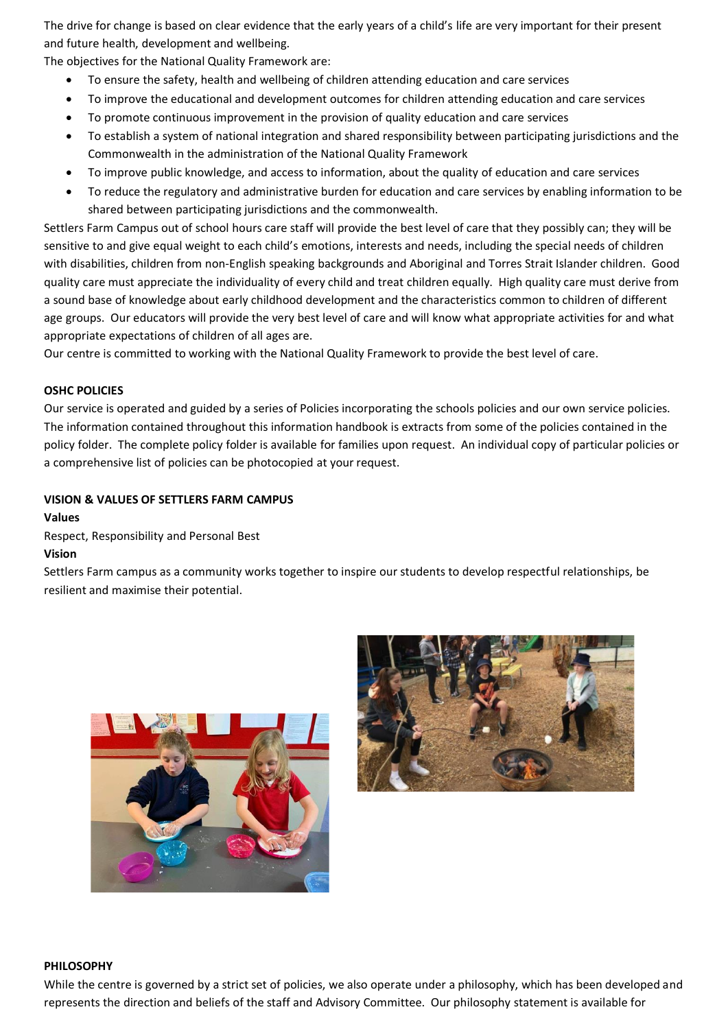The drive for change is based on clear evidence that the early years of a child's life are very important for their present and future health, development and wellbeing.

The objectives for the National Quality Framework are:

- To ensure the safety, health and wellbeing of children attending education and care services
- To improve the educational and development outcomes for children attending education and care services
- To promote continuous improvement in the provision of quality education and care services
- To establish a system of national integration and shared responsibility between participating jurisdictions and the Commonwealth in the administration of the National Quality Framework
- To improve public knowledge, and access to information, about the quality of education and care services
- To reduce the regulatory and administrative burden for education and care services by enabling information to be shared between participating jurisdictions and the commonwealth.

Settlers Farm Campus out of school hours care staff will provide the best level of care that they possibly can; they will be sensitive to and give equal weight to each child's emotions, interests and needs, including the special needs of children with disabilities, children from non-English speaking backgrounds and Aboriginal and Torres Strait Islander children. Good quality care must appreciate the individuality of every child and treat children equally. High quality care must derive from a sound base of knowledge about early childhood development and the characteristics common to children of different age groups. Our educators will provide the very best level of care and will know what appropriate activities for and what appropriate expectations of children of all ages are.

Our centre is committed to working with the National Quality Framework to provide the best level of care.

#### **OSHC POLICIES**

Our service is operated and guided by a series of Policies incorporating the schools policies and our own service policies. The information contained throughout this information handbook is extracts from some of the policies contained in the policy folder. The complete policy folder is available for families upon request. An individual copy of particular policies or a comprehensive list of policies can be photocopied at your request.

#### **VISION & VALUES OF SETTLERS FARM CAMPUS**

#### **Values**

Respect, Responsibility and Personal Best

#### **Vision**

Settlers Farm campus as a community works together to inspire our students to develop respectful relationships, be resilient and maximise their potential.





#### **PHILOSOPHY**

While the centre is governed by a strict set of policies, we also operate under a philosophy, which has been developed and represents the direction and beliefs of the staff and Advisory Committee. Our philosophy statement is available for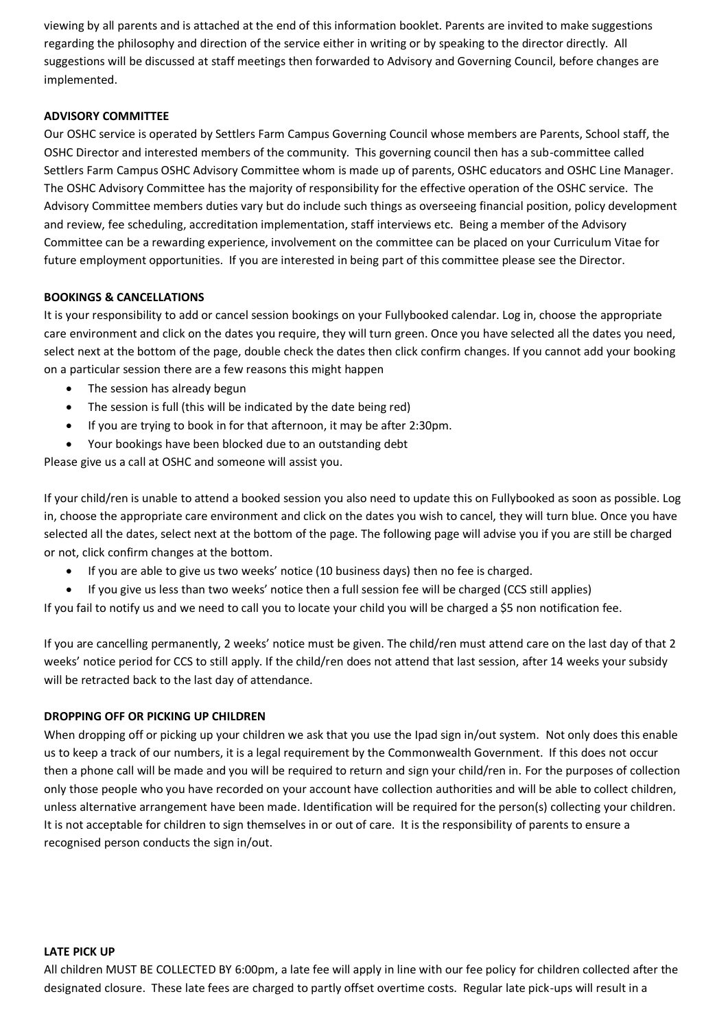viewing by all parents and is attached at the end of this information booklet. Parents are invited to make suggestions regarding the philosophy and direction of the service either in writing or by speaking to the director directly. All suggestions will be discussed at staff meetings then forwarded to Advisory and Governing Council, before changes are implemented.

# **ADVISORY COMMITTEE**

Our OSHC service is operated by Settlers Farm Campus Governing Council whose members are Parents, School staff, the OSHC Director and interested members of the community. This governing council then has a sub-committee called Settlers Farm Campus OSHC Advisory Committee whom is made up of parents, OSHC educators and OSHC Line Manager. The OSHC Advisory Committee has the majority of responsibility for the effective operation of the OSHC service. The Advisory Committee members duties vary but do include such things as overseeing financial position, policy development and review, fee scheduling, accreditation implementation, staff interviews etc. Being a member of the Advisory Committee can be a rewarding experience, involvement on the committee can be placed on your Curriculum Vitae for future employment opportunities. If you are interested in being part of this committee please see the Director.

# **BOOKINGS & CANCELLATIONS**

It is your responsibility to add or cancel session bookings on your Fullybooked calendar. Log in, choose the appropriate care environment and click on the dates you require, they will turn green. Once you have selected all the dates you need, select next at the bottom of the page, double check the dates then click confirm changes. If you cannot add your booking on a particular session there are a few reasons this might happen

- The session has already begun
- The session is full (this will be indicated by the date being red)
- If you are trying to book in for that afternoon, it may be after 2:30pm.
- Your bookings have been blocked due to an outstanding debt

Please give us a call at OSHC and someone will assist you.

If your child/ren is unable to attend a booked session you also need to update this on Fullybooked as soon as possible. Log in, choose the appropriate care environment and click on the dates you wish to cancel, they will turn blue. Once you have selected all the dates, select next at the bottom of the page. The following page will advise you if you are still be charged or not, click confirm changes at the bottom.

- If you are able to give us two weeks' notice (10 business days) then no fee is charged.
- If you give us less than two weeks' notice then a full session fee will be charged (CCS still applies)

If you fail to notify us and we need to call you to locate your child you will be charged a \$5 non notification fee.

If you are cancelling permanently, 2 weeks' notice must be given. The child/ren must attend care on the last day of that 2 weeks' notice period for CCS to still apply. If the child/ren does not attend that last session, after 14 weeks your subsidy will be retracted back to the last day of attendance.

# **DROPPING OFF OR PICKING UP CHILDREN**

When dropping off or picking up your children we ask that you use the Ipad sign in/out system. Not only does this enable us to keep a track of our numbers, it is a legal requirement by the Commonwealth Government. If this does not occur then a phone call will be made and you will be required to return and sign your child/ren in. For the purposes of collection only those people who you have recorded on your account have collection authorities and will be able to collect children, unless alternative arrangement have been made. Identification will be required for the person(s) collecting your children. It is not acceptable for children to sign themselves in or out of care. It is the responsibility of parents to ensure a recognised person conducts the sign in/out.

#### **LATE PICK UP**

All children MUST BE COLLECTED BY 6:00pm, a late fee will apply in line with our fee policy for children collected after the designated closure. These late fees are charged to partly offset overtime costs. Regular late pick-ups will result in a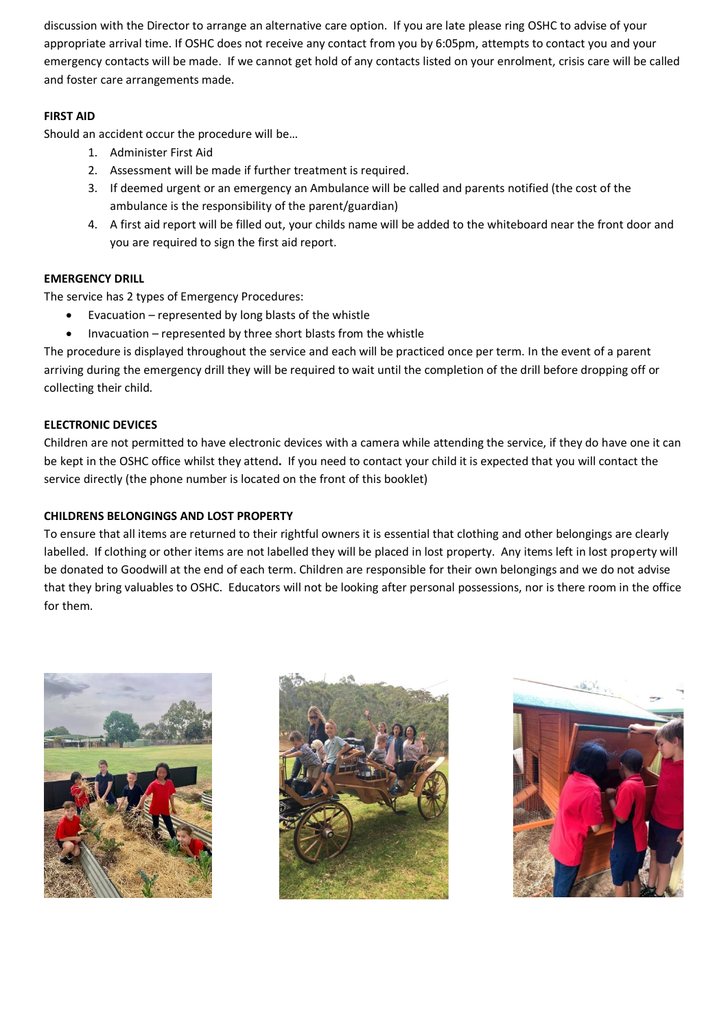discussion with the Director to arrange an alternative care option. If you are late please ring OSHC to advise of your appropriate arrival time. If OSHC does not receive any contact from you by 6:05pm, attempts to contact you and your emergency contacts will be made. If we cannot get hold of any contacts listed on your enrolment, crisis care will be called and foster care arrangements made.

# **FIRST AID**

Should an accident occur the procedure will be…

- 1. Administer First Aid
- 2. Assessment will be made if further treatment is required.
- 3. If deemed urgent or an emergency an Ambulance will be called and parents notified (the cost of the ambulance is the responsibility of the parent/guardian)
- 4. A first aid report will be filled out, your childs name will be added to the whiteboard near the front door and you are required to sign the first aid report.

# **EMERGENCY DRILL**

The service has 2 types of Emergency Procedures:

- Evacuation  $-$  represented by long blasts of the whistle
- Invacuation represented by three short blasts from the whistle

The procedure is displayed throughout the service and each will be practiced once per term. In the event of a parent arriving during the emergency drill they will be required to wait until the completion of the drill before dropping off or collecting their child.

# **ELECTRONIC DEVICES**

Children are not permitted to have electronic devices with a camera while attending the service, if they do have one it can be kept in the OSHC office whilst they attend**.** If you need to contact your child it is expected that you will contact the service directly (the phone number is located on the front of this booklet)

# **CHILDRENS BELONGINGS AND LOST PROPERTY**

To ensure that all items are returned to their rightful owners it is essential that clothing and other belongings are clearly labelled. If clothing or other items are not labelled they will be placed in lost property. Any items left in lost property will be donated to Goodwill at the end of each term. Children are responsible for their own belongings and we do not advise that they bring valuables to OSHC. Educators will not be looking after personal possessions, nor is there room in the office for them.





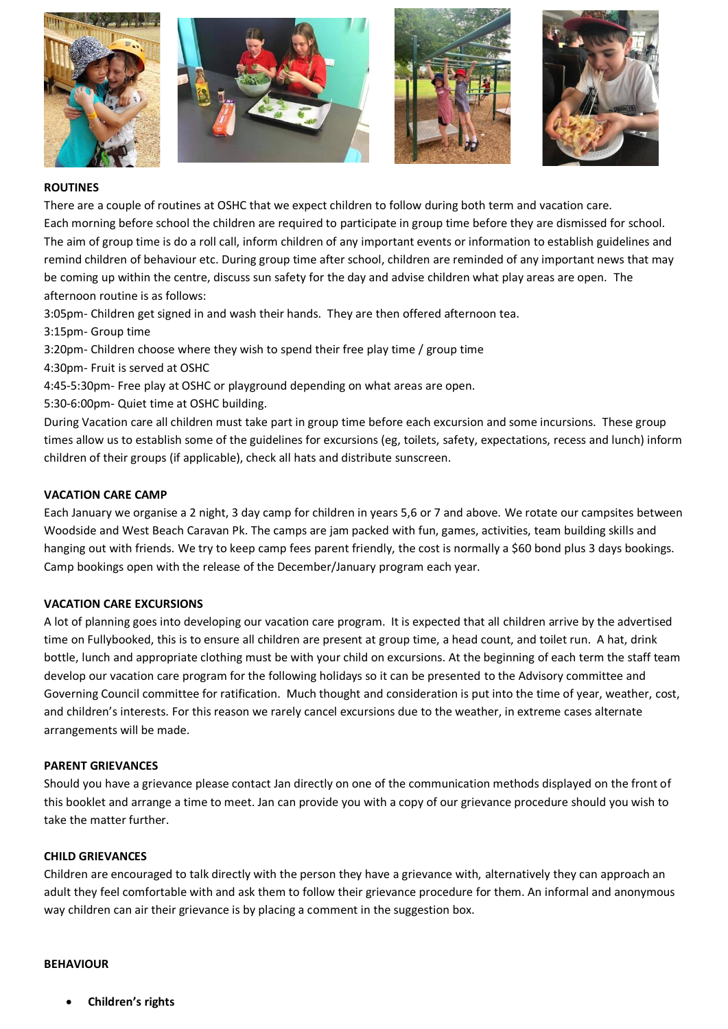

#### **ROUTINES**

There are a couple of routines at OSHC that we expect children to follow during both term and vacation care. Each morning before school the children are required to participate in group time before they are dismissed for school. The aim of group time is do a roll call, inform children of any important events or information to establish guidelines and remind children of behaviour etc. During group time after school, children are reminded of any important news that may be coming up within the centre, discuss sun safety for the day and advise children what play areas are open. The afternoon routine is as follows:

3:05pm- Children get signed in and wash their hands. They are then offered afternoon tea.

3:15pm- Group time

3:20pm- Children choose where they wish to spend their free play time / group time

- 4:30pm- Fruit is served at OSHC
- 4:45-5:30pm- Free play at OSHC or playground depending on what areas are open.
- 5:30-6:00pm- Quiet time at OSHC building.

During Vacation care all children must take part in group time before each excursion and some incursions. These group times allow us to establish some of the guidelines for excursions (eg, toilets, safety, expectations, recess and lunch) inform children of their groups (if applicable), check all hats and distribute sunscreen.

#### **VACATION CARE CAMP**

Each January we organise a 2 night, 3 day camp for children in years 5,6 or 7 and above. We rotate our campsites between Woodside and West Beach Caravan Pk. The camps are jam packed with fun, games, activities, team building skills and hanging out with friends. We try to keep camp fees parent friendly, the cost is normally a \$60 bond plus 3 days bookings. Camp bookings open with the release of the December/January program each year.

# **VACATION CARE EXCURSIONS**

A lot of planning goes into developing our vacation care program. It is expected that all children arrive by the advertised time on Fullybooked, this is to ensure all children are present at group time, a head count, and toilet run. A hat, drink bottle, lunch and appropriate clothing must be with your child on excursions. At the beginning of each term the staff team develop our vacation care program for the following holidays so it can be presented to the Advisory committee and Governing Council committee for ratification. Much thought and consideration is put into the time of year, weather, cost, and children's interests. For this reason we rarely cancel excursions due to the weather, in extreme cases alternate arrangements will be made.

#### **PARENT GRIEVANCES**

Should you have a grievance please contact Jan directly on one of the communication methods displayed on the front of this booklet and arrange a time to meet. Jan can provide you with a copy of our grievance procedure should you wish to take the matter further.

#### **CHILD GRIEVANCES**

Children are encouraged to talk directly with the person they have a grievance with, alternatively they can approach an adult they feel comfortable with and ask them to follow their grievance procedure for them. An informal and anonymous way children can air their grievance is by placing a comment in the suggestion box.

#### **BEHAVIOUR**

• **Children's rights**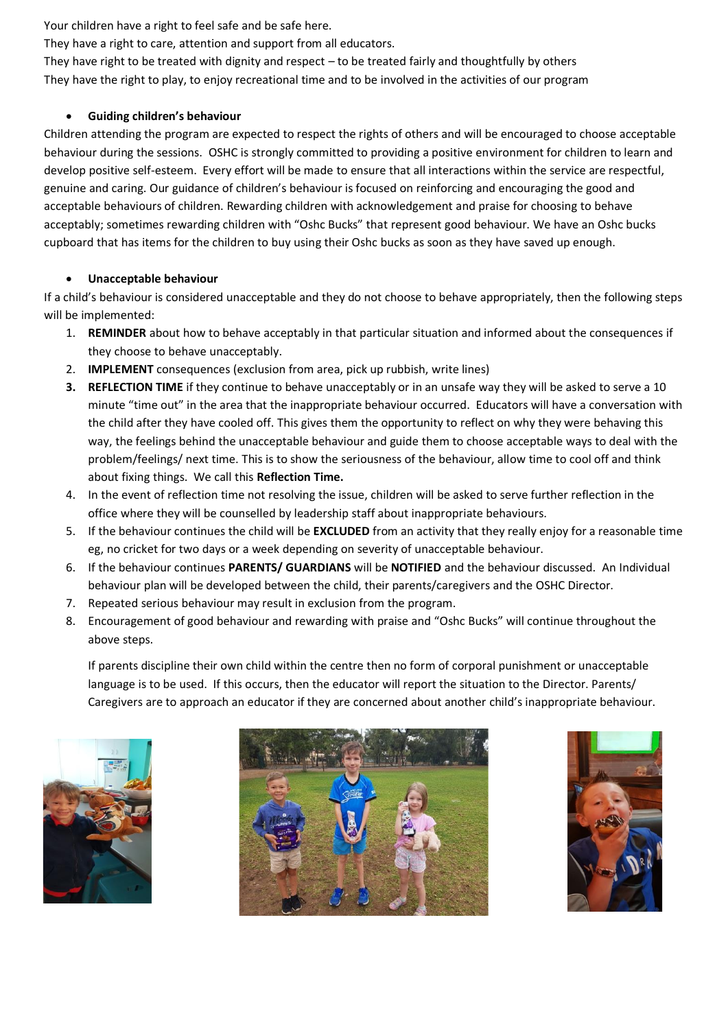Your children have a right to feel safe and be safe here.

They have a right to care, attention and support from all educators.

They have right to be treated with dignity and respect – to be treated fairly and thoughtfully by others They have the right to play, to enjoy recreational time and to be involved in the activities of our program

# • **Guiding children's behaviour**

Children attending the program are expected to respect the rights of others and will be encouraged to choose acceptable behaviour during the sessions. OSHC is strongly committed to providing a positive environment for children to learn and develop positive self-esteem. Every effort will be made to ensure that all interactions within the service are respectful, genuine and caring. Our guidance of children's behaviour is focused on reinforcing and encouraging the good and acceptable behaviours of children. Rewarding children with acknowledgement and praise for choosing to behave acceptably; sometimes rewarding children with "Oshc Bucks" that represent good behaviour. We have an Oshc bucks cupboard that has items for the children to buy using their Oshc bucks as soon as they have saved up enough.

# • **Unacceptable behaviour**

If a child's behaviour is considered unacceptable and they do not choose to behave appropriately, then the following steps will be implemented:

- 1. **REMINDER** about how to behave acceptably in that particular situation and informed about the consequences if they choose to behave unacceptably.
- 2. **IMPLEMENT** consequences (exclusion from area, pick up rubbish, write lines)
- **3. REFLECTION TIME** if they continue to behave unacceptably or in an unsafe way they will be asked to serve a 10 minute "time out" in the area that the inappropriate behaviour occurred. Educators will have a conversation with the child after they have cooled off. This gives them the opportunity to reflect on why they were behaving this way, the feelings behind the unacceptable behaviour and guide them to choose acceptable ways to deal with the problem/feelings/ next time. This is to show the seriousness of the behaviour, allow time to cool off and think about fixing things. We call this **Reflection Time.**
- 4. In the event of reflection time not resolving the issue, children will be asked to serve further reflection in the office where they will be counselled by leadership staff about inappropriate behaviours.
- 5. If the behaviour continues the child will be **EXCLUDED** from an activity that they really enjoy for a reasonable time eg, no cricket for two days or a week depending on severity of unacceptable behaviour.
- 6. If the behaviour continues **PARENTS/ GUARDIANS** will be **NOTIFIED** and the behaviour discussed. An Individual behaviour plan will be developed between the child, their parents/caregivers and the OSHC Director.
- 7. Repeated serious behaviour may result in exclusion from the program.
- 8. Encouragement of good behaviour and rewarding with praise and "Oshc Bucks" will continue throughout the above steps.

If parents discipline their own child within the centre then no form of corporal punishment or unacceptable language is to be used. If this occurs, then the educator will report the situation to the Director. Parents/ Caregivers are to approach an educator if they are concerned about another child's inappropriate behaviour.





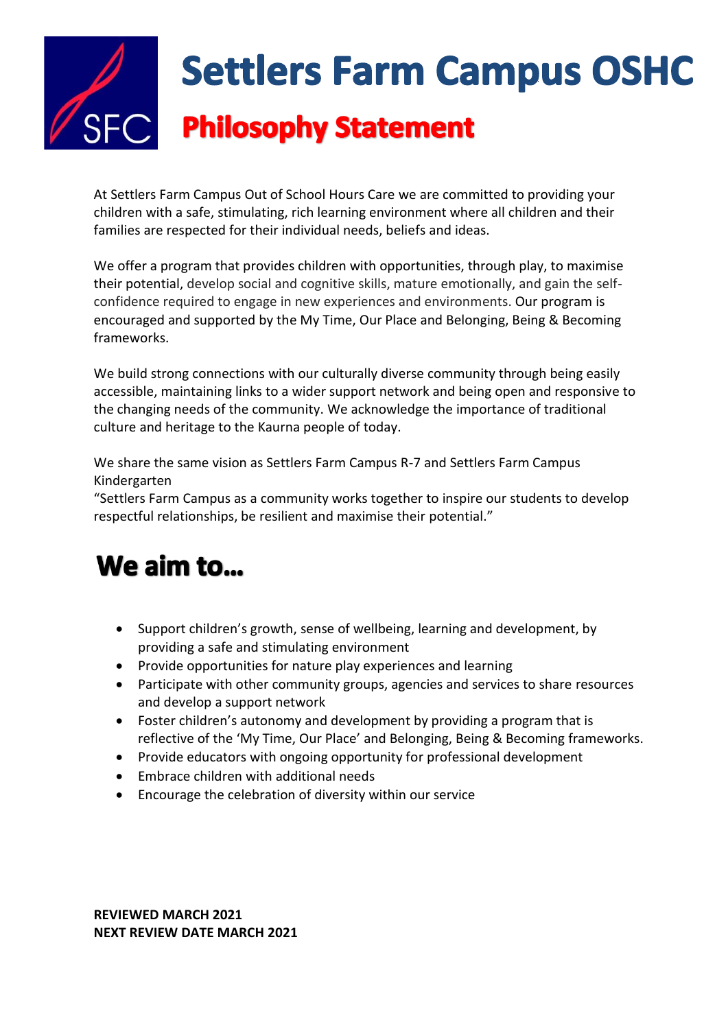

At Settlers Farm Campus Out of School Hours Care we are committed to providing your children with a safe, stimulating, rich learning environment where all children and their families are respected for their individual needs, beliefs and ideas.

We offer a program that provides children with opportunities, through play, to maximise their potential, develop social and cognitive skills, mature emotionally, and gain the selfconfidence required to engage in new experiences and environments. Our program is encouraged and supported by the My Time, Our Place and Belonging, Being & Becoming frameworks.

We build strong connections with our culturally diverse community through being easily accessible, maintaining links to a wider support network and being open and responsive to the changing needs of the community. We acknowledge the importance of traditional culture and heritage to the Kaurna people of today.

We share the same vision as Settlers Farm Campus R-7 and Settlers Farm Campus Kindergarten

"Settlers Farm Campus as a community works together to inspire our students to develop respectful relationships, be resilient and maximise their potential."

# We aim to...

- Support children's growth, sense of wellbeing, learning and development, by providing a safe and stimulating environment
- Provide opportunities for nature play experiences and learning
- Participate with other community groups, agencies and services to share resources and develop a support network
- Foster children's autonomy and development by providing a program that is reflective of the 'My Time, Our Place' and Belonging, Being & Becoming frameworks.
- Provide educators with ongoing opportunity for professional development
- Embrace children with additional needs
- Encourage the celebration of diversity within our service

**REVIEWED MARCH 2021 NEXT REVIEW DATE MARCH 2021**